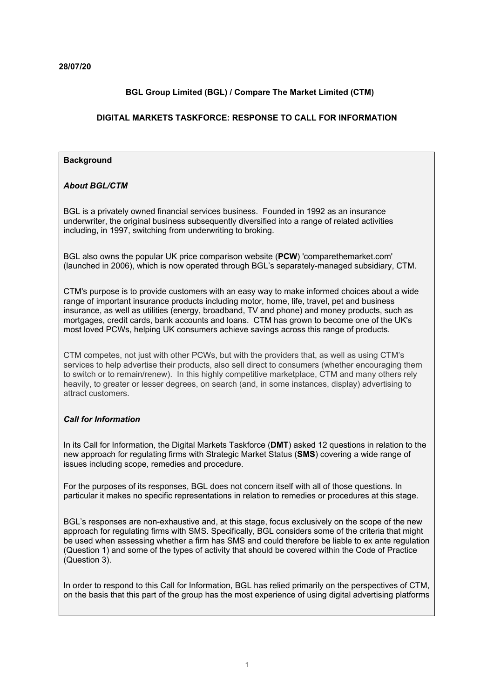# **BGL Group Limited (BGL) / Compare The Market Limited (CTM)**

## **DIGITAL MARKETS TASKFORCE: RESPONSE TO CALL FOR INFORMATION**

#### **Background**

## *About BGL/CTM*

BGL is a privately owned financial services business. Founded in 1992 as an insurance underwriter, the original business subsequently diversified into a range of related activities including, in 1997, switching from underwriting to broking.

BGL also owns the popular UK price comparison website (**PCW**) 'comparethemarket.com' (launched in 2006), which is now operated through BGL's separately-managed subsidiary, CTM.

CTM's purpose is to provide customers with an easy way to make informed choices about a wide range of important insurance products including motor, home, life, travel, pet and business insurance, as well as utilities (energy, broadband, TV and phone) and money products, such as mortgages, credit cards, bank accounts and loans. CTM has grown to become one of the UK's most loved PCWs, helping UK consumers achieve savings across this range of products.

CTM competes, not just with other PCWs, but with the providers that, as well as using CTM's services to help advertise their products, also sell direct to consumers (whether encouraging them to switch or to remain/renew). In this highly competitive marketplace, CTM and many others rely heavily, to greater or lesser degrees, on search (and, in some instances, display) advertising to attract customers.

## *Call for Information*

In its Call for Information, the Digital Markets Taskforce (**DMT**) asked 12 questions in relation to the new approach for regulating firms with Strategic Market Status (**SMS**) covering a wide range of issues including scope, remedies and procedure.

For the purposes of its responses, BGL does not concern itself with all of those questions. In particular it makes no specific representations in relation to remedies or procedures at this stage.

BGL's responses are non-exhaustive and, at this stage, focus exclusively on the scope of the new approach for regulating firms with SMS. Specifically, BGL considers some of the criteria that might be used when assessing whether a firm has SMS and could therefore be liable to ex ante regulation (Question 1) and some of the types of activity that should be covered within the Code of Practice (Question 3).

In order to respond to this Call for Information, BGL has relied primarily on the perspectives of CTM, on the basis that this part of the group has the most experience of using digital advertising platforms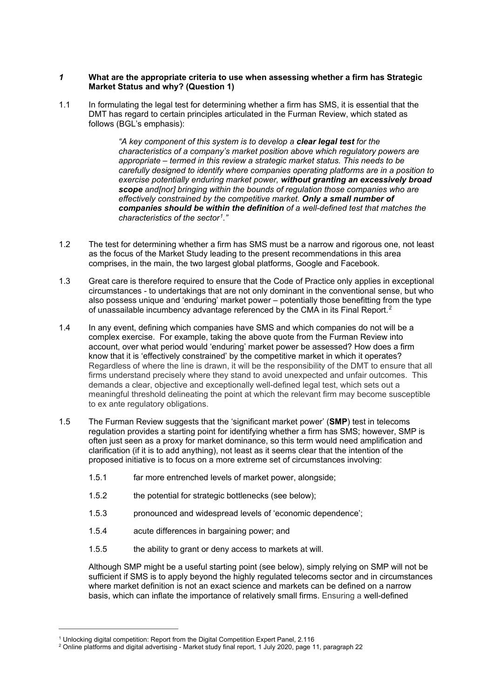#### *1* **What are the appropriate criteria to use when assessing whether a firm has Strategic Market Status and why? (Question 1)**

1.1 In formulating the legal test for determining whether a firm has SMS, it is essential that the DMT has regard to certain principles articulated in the Furman Review, which stated as follows (BGL's emphasis):

> *"A key component of this system is to develop a clear legal test for the characteristics of a company's market position above which regulatory powers are appropriate – termed in this review a strategic market status. This needs to be carefully designed to identify where companies operating platforms are in a position to exercise potentially enduring market power, without granting an excessively broad scope and[nor] bringing within the bounds of regulation those companies who are effectively constrained by the competitive market. Only a small number of companies should be within the definition of a well-defined test that matches the characteristics of the sector[1.](#page-1-0)"*

- 1.2 The test for determining whether a firm has SMS must be a narrow and rigorous one, not least as the focus of the Market Study leading to the present recommendations in this area comprises, in the main, the two largest global platforms, Google and Facebook.
- 1.3 Great care is therefore required to ensure that the Code of Practice only applies in exceptional circumstances - to undertakings that are not only dominant in the conventional sense, but who also possess unique and 'enduring' market power – potentially those benefitting from the type of unassailable incumbency advantage referenced by the CMA in its Final Report.<sup>[2](#page-1-1)</sup>
- 1.4 In any event, defining which companies have SMS and which companies do not will be a complex exercise. For example, taking the above quote from the Furman Review into account, over what period would 'enduring' market power be assessed? How does a firm know that it is 'effectively constrained' by the competitive market in which it operates? Regardless of where the line is drawn, it will be the responsibility of the DMT to ensure that all firms understand precisely where they stand to avoid unexpected and unfair outcomes. This demands a clear, objective and exceptionally well-defined legal test, which sets out a meaningful threshold delineating the point at which the relevant firm may become susceptible to ex ante regulatory obligations.
- 1.5 The Furman Review suggests that the 'significant market power' (**SMP**) test in telecoms regulation provides a starting point for identifying whether a firm has SMS; however, SMP is often just seen as a proxy for market dominance, so this term would need amplification and clarification (if it is to add anything), not least as it seems clear that the intention of the proposed initiative is to focus on a more extreme set of circumstances involving:
	- 1.5.1 far more entrenched levels of market power, alongside;
	- 1.5.2 the potential for strategic bottlenecks (see below);
	- 1.5.3 pronounced and widespread levels of 'economic dependence';
	- 1.5.4 acute differences in bargaining power; and
	- 1.5.5 the ability to grant or deny access to markets at will.

Although SMP might be a useful starting point (see below), simply relying on SMP will not be sufficient if SMS is to apply beyond the highly regulated telecoms sector and in circumstances where market definition is not an exact science and markets can be defined on a narrow basis, which can inflate the importance of relatively small firms. Ensuring a well-defined

<span id="page-1-0"></span><sup>&</sup>lt;sup>1</sup> Unlocking digital competition: Report from the Digital Competition Expert Panel, 2.116

<span id="page-1-1"></span> $^{\rm 2}$  Online platforms and digital advertising - Market study final report, 1 July 2020, page 11, paragraph 22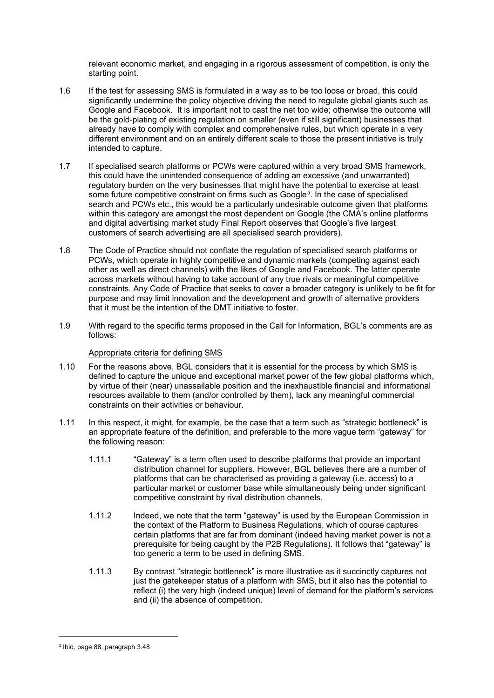relevant economic market, and engaging in a rigorous assessment of competition, is only the starting point.

- 1.6 If the test for assessing SMS is formulated in a way as to be too loose or broad, this could significantly undermine the policy objective driving the need to regulate global giants such as Google and Facebook. It is important not to cast the net too wide; otherwise the outcome will be the gold-plating of existing regulation on smaller (even if still significant) businesses that already have to comply with complex and comprehensive rules, but which operate in a very different environment and on an entirely different scale to those the present initiative is truly intended to capture.
- 1.7 If specialised search platforms or PCWs were captured within a very broad SMS framework, this could have the unintended consequence of adding an excessive (and unwarranted) regulatory burden on the very businesses that might have the potential to exercise at least some future competitive constraint on firms such as Google*[3](#page-2-0)*. In the case of specialised search and PCWs etc., this would be a particularly undesirable outcome given that platforms within this category are amongst the most dependent on Google (the CMA's online platforms and digital advertising market study Final Report observes that Google's five largest customers of search advertising are all specialised search providers).
- 1.8 The Code of Practice should not conflate the regulation of specialised search platforms or PCWs, which operate in highly competitive and dynamic markets (competing against each other as well as direct channels) with the likes of Google and Facebook. The latter operate across markets without having to take account of any true rivals or meaningful competitive constraints. Any Code of Practice that seeks to cover a broader category is unlikely to be fit for purpose and may limit innovation and the development and growth of alternative providers that it must be the intention of the DMT initiative to foster.
- 1.9 With regard to the specific terms proposed in the Call for Information, BGL's comments are as follows:

#### Appropriate criteria for defining SMS

- 1.10 For the reasons above, BGL considers that it is essential for the process by which SMS is defined to capture the unique and exceptional market power of the few global platforms which, by virtue of their (near) unassailable position and the inexhaustible financial and informational resources available to them (and/or controlled by them), lack any meaningful commercial constraints on their activities or behaviour.
- 1.11 In this respect, it might, for example, be the case that a term such as "strategic bottleneck" is an appropriate feature of the definition, and preferable to the more vague term "gateway" for the following reason:
	- 1.11.1 "Gateway" is a term often used to describe platforms that provide an important distribution channel for suppliers. However, BGL believes there are a number of platforms that can be characterised as providing a gateway (i.e. access) to a particular market or customer base while simultaneously being under significant competitive constraint by rival distribution channels.
	- 1.11.2 Indeed, we note that the term "gateway" is used by the European Commission in the context of the Platform to Business Regulations, which of course captures certain platforms that are far from dominant (indeed having market power is not a prerequisite for being caught by the P2B Regulations). It follows that "gateway" is too generic a term to be used in defining SMS.
	- 1.11.3 By contrast "strategic bottleneck" is more illustrative as it succinctly captures not just the gatekeeper status of a platform with SMS, but it also has the potential to reflect (i) the very high (indeed unique) level of demand for the platform's services and (ii) the absence of competition.

<span id="page-2-0"></span><sup>3</sup> Ibid, page 88, paragraph 3.48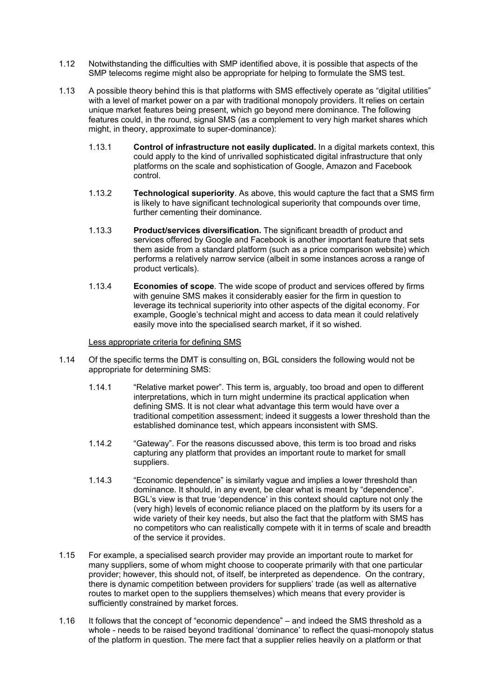- 1.12 Notwithstanding the difficulties with SMP identified above, it is possible that aspects of the SMP telecoms regime might also be appropriate for helping to formulate the SMS test.
- 1.13 A possible theory behind this is that platforms with SMS effectively operate as "digital utilities" with a level of market power on a par with traditional monopoly providers. It relies on certain unique market features being present, which go beyond mere dominance. The following features could, in the round, signal SMS (as a complement to very high market shares which might, in theory, approximate to super-dominance):
	- 1.13.1 **Control of infrastructure not easily duplicated.** In a digital markets context, this could apply to the kind of unrivalled sophisticated digital infrastructure that only platforms on the scale and sophistication of Google, Amazon and Facebook control.
	- 1.13.2 **Technological superiority**. As above, this would capture the fact that a SMS firm is likely to have significant technological superiority that compounds over time, further cementing their dominance.
	- 1.13.3 **Product/services diversification.** The significant breadth of product and services offered by Google and Facebook is another important feature that sets them aside from a standard platform (such as a price comparison website) which performs a relatively narrow service (albeit in some instances across a range of product verticals).
	- 1.13.4 **Economies of scope**. The wide scope of product and services offered by firms with genuine SMS makes it considerably easier for the firm in question to leverage its technical superiority into other aspects of the digital economy. For example, Google's technical might and access to data mean it could relatively easily move into the specialised search market, if it so wished.

Less appropriate criteria for defining SMS

- 1.14 Of the specific terms the DMT is consulting on, BGL considers the following would not be appropriate for determining SMS:
	- 1.14.1 "Relative market power". This term is, arguably, too broad and open to different interpretations, which in turn might undermine its practical application when defining SMS. It is not clear what advantage this term would have over a traditional competition assessment; indeed it suggests a lower threshold than the established dominance test, which appears inconsistent with SMS.
	- 1.14.2 "Gateway". For the reasons discussed above, this term is too broad and risks capturing any platform that provides an important route to market for small suppliers.
	- 1.14.3 "Economic dependence" is similarly vague and implies a lower threshold than dominance. It should, in any event, be clear what is meant by "dependence". BGL's view is that true 'dependence' in this context should capture not only the (very high) levels of economic reliance placed on the platform by its users for a wide variety of their key needs, but also the fact that the platform with SMS has no competitors who can realistically compete with it in terms of scale and breadth of the service it provides.
- 1.15 For example, a specialised search provider may provide an important route to market for many suppliers, some of whom might choose to cooperate primarily with that one particular provider; however, this should not, of itself, be interpreted as dependence. On the contrary, there is dynamic competition between providers for suppliers' trade (as well as alternative routes to market open to the suppliers themselves) which means that every provider is sufficiently constrained by market forces.
- 1.16 It follows that the concept of "economic dependence" and indeed the SMS threshold as a whole - needs to be raised beyond traditional 'dominance' to reflect the quasi-monopoly status of the platform in question. The mere fact that a supplier relies heavily on a platform or that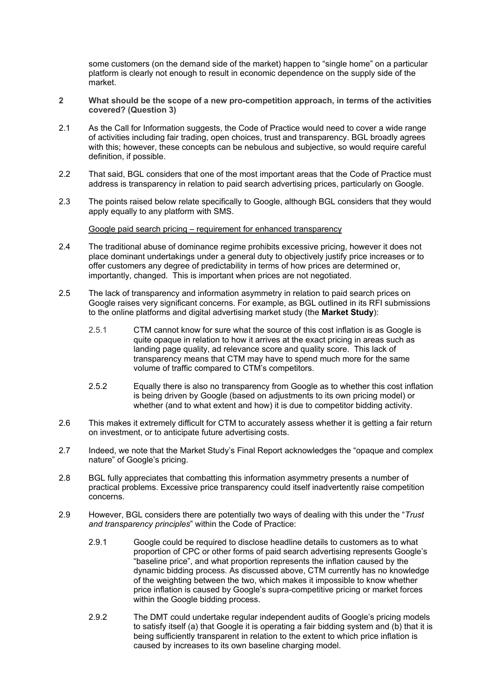some customers (on the demand side of the market) happen to "single home" on a particular platform is clearly not enough to result in economic dependence on the supply side of the market.

- **2 What should be the scope of a new pro-competition approach, in terms of the activities covered? (Question 3)**
- 2.1 As the Call for Information suggests, the Code of Practice would need to cover a wide range of activities including fair trading, open choices, trust and transparency. BGL broadly agrees with this; however, these concepts can be nebulous and subjective, so would require careful definition, if possible.
- 2.2 That said, BGL considers that one of the most important areas that the Code of Practice must address is transparency in relation to paid search advertising prices, particularly on Google.
- 2.3 The points raised below relate specifically to Google, although BGL considers that they would apply equally to any platform with SMS.

Google paid search pricing – requirement for enhanced transparency

- 2.4 The traditional abuse of dominance regime prohibits excessive pricing, however it does not place dominant undertakings under a general duty to objectively justify price increases or to offer customers any degree of predictability in terms of how prices are determined or, importantly, changed. This is important when prices are not negotiated.
- 2.5 The lack of transparency and information asymmetry in relation to paid search prices on Google raises very significant concerns. For example, as BGL outlined in its RFI submissions to the online platforms and digital advertising market study (the **Market Study**):
	- 2.5.1 CTM cannot know for sure what the source of this cost inflation is as Google is quite opaque in relation to how it arrives at the exact pricing in areas such as landing page quality, ad relevance score and quality score. This lack of transparency means that CTM may have to spend much more for the same volume of traffic compared to CTM's competitors.
	- 2.5.2 Equally there is also no transparency from Google as to whether this cost inflation is being driven by Google (based on adjustments to its own pricing model) or whether (and to what extent and how) it is due to competitor bidding activity.
- 2.6 This makes it extremely difficult for CTM to accurately assess whether it is getting a fair return on investment, or to anticipate future advertising costs.
- 2.7 Indeed, we note that the Market Study's Final Report acknowledges the "opaque and complex nature" of Google's pricing.
- 2.8 BGL fully appreciates that combatting this information asymmetry presents a number of practical problems. Excessive price transparency could itself inadvertently raise competition concerns.
- 2.9 However, BGL considers there are potentially two ways of dealing with this under the "*Trust and transparency principles*" within the Code of Practice:
	- 2.9.1 Google could be required to disclose headline details to customers as to what proportion of CPC or other forms of paid search advertising represents Google's "baseline price", and what proportion represents the inflation caused by the dynamic bidding process. As discussed above, CTM currently has no knowledge of the weighting between the two, which makes it impossible to know whether price inflation is caused by Google's supra-competitive pricing or market forces within the Google bidding process.
	- 2.9.2 The DMT could undertake regular independent audits of Google's pricing models to satisfy itself (a) that Google it is operating a fair bidding system and (b) that it is being sufficiently transparent in relation to the extent to which price inflation is caused by increases to its own baseline charging model.